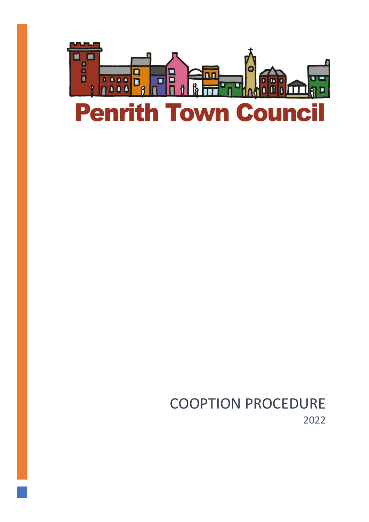

COOPTION PROCEDURE 2022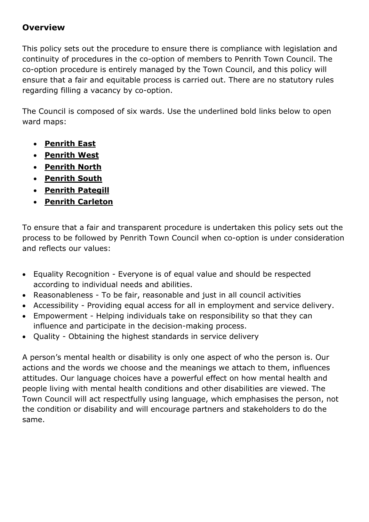#### **Overview**

This policy sets out the procedure to ensure there is compliance with legislation and continuity of procedures in the co-option of members to Penrith Town Council. The co-option procedure is entirely managed by the Town Council, and this policy will ensure that a fair and equitable process is carried out. There are no statutory rules regarding filling a vacancy by co-option.

The Council is composed of six wards. Use the underlined bold links below to open ward maps:

- **[Penrith East](https://www.penrithtowncouncil.co.uk/wp-content/uploads/2019/01/Penrith-East-Ward-Map.pdf)**
- **[Penrith West](https://www.penrithtowncouncil.co.uk/wp-content/uploads/2019/01/Penrith-West-Ward.pdf)**
- **[Penrith North](https://www.penrithtowncouncil.co.uk/wp-content/uploads/2019/01/Penrith-North-Full-Area.pdf)**
- **[Penrith South](https://www.penrithtowncouncil.co.uk/wp-content/uploads/2019/01/Penrith-South-Ward.pdf)**
- **[Penrith Pategill](https://www.penrithtowncouncil.co.uk/wp-content/uploads/2019/01/Penrith-Pategill-Ward.pdf)**
- **[Penrith Carleton](https://www.penrithtowncouncil.co.uk/wp-content/uploads/2019/01/Penrith-Carleton.pdf)**

To ensure that a fair and transparent procedure is undertaken this policy sets out the process to be followed by Penrith Town Council when co-option is under consideration and reflects our values:

- Equality Recognition Everyone is of equal value and should be respected according to individual needs and abilities.
- Reasonableness To be fair, reasonable and just in all council activities
- Accessibility Providing equal access for all in employment and service delivery.
- Empowerment Helping individuals take on responsibility so that they can influence and participate in the decision-making process.
- Quality Obtaining the highest standards in service delivery

A person's mental health or disability is only one aspect of who the person is. Our actions and the words we choose and the meanings we attach to them, influences attitudes. Our language choices have a powerful effect on how mental health and people living with mental health conditions and other disabilities are viewed. The Town Council will act respectfully using language, which emphasises the person, not the condition or disability and will encourage partners and stakeholders to do the same.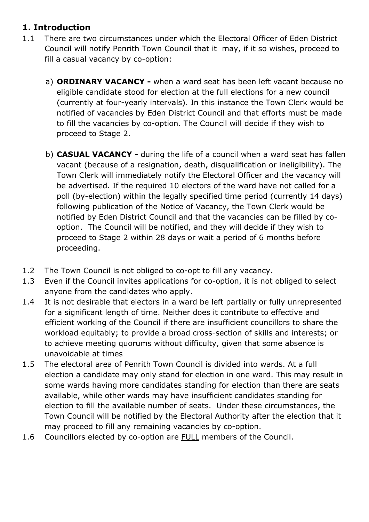#### **1. Introduction**

- 1.1 There are two circumstances under which the Electoral Officer of Eden District Council will notify Penrith Town Council that it may, if it so wishes, proceed to fill a casual vacancy by co-option:
	- a) **ORDINARY VACANCY -** when a ward seat has been left vacant because no eligible candidate stood for election at the full elections for a new council (currently at four-yearly intervals). In this instance the Town Clerk would be notified of vacancies by Eden District Council and that efforts must be made to fill the vacancies by co-option. The Council will decide if they wish to proceed to Stage 2.
	- b) **CASUAL VACANCY -** during the life of a council when a ward seat has fallen vacant (because of a resignation, death, disqualification or ineligibility). The Town Clerk will immediately notify the Electoral Officer and the vacancy will be advertised. If the required 10 electors of the ward have not called for a poll (by-election) within the legally specified time period (currently 14 days) following publication of the Notice of Vacancy, the Town Clerk would be notified by Eden District Council and that the vacancies can be filled by cooption. The Council will be notified, and they will decide if they wish to proceed to Stage 2 within 28 days or wait a period of 6 months before proceeding.
- 1.2 The Town Council is not obliged to co-opt to fill any vacancy.
- 1.3 Even if the Council invites applications for co-option, it is not obliged to select anyone from the candidates who apply.
- 1.4 It is not desirable that electors in a ward be left partially or fully unrepresented for a significant length of time. Neither does it contribute to effective and efficient working of the Council if there are insufficient councillors to share the workload equitably; to provide a broad cross-section of skills and interests; or to achieve meeting quorums without difficulty, given that some absence is unavoidable at times
- 1.5 The electoral area of Penrith Town Council is divided into wards. At a full election a candidate may only stand for election in one ward. This may result in some wards having more candidates standing for election than there are seats available, while other wards may have insufficient candidates standing for election to fill the available number of seats. Under these circumstances, the Town Council will be notified by the Electoral Authority after the election that it may proceed to fill any remaining vacancies by co-option.
- 1.6 Councillors elected by co-option are FULL members of the Council.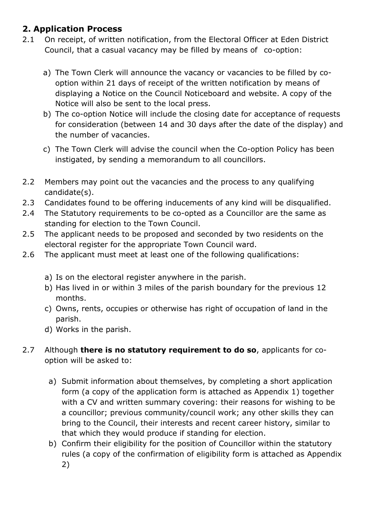## **2. Application Process**

- 2.1 On receipt, of written notification, from the Electoral Officer at Eden District Council, that a casual vacancy may be filled by means of co-option:
	- a) The Town Clerk will announce the vacancy or vacancies to be filled by cooption within 21 days of receipt of the written notification by means of displaying a Notice on the Council Noticeboard and website. A copy of the Notice will also be sent to the local press.
	- b) The co-option Notice will include the closing date for acceptance of requests for consideration (between 14 and 30 days after the date of the display) and the number of vacancies.
	- c) The Town Clerk will advise the council when the Co-option Policy has been instigated, by sending a memorandum to all councillors.
- 2.2 Members may point out the vacancies and the process to any qualifying candidate(s).
- 2.3 Candidates found to be offering inducements of any kind will be disqualified.
- 2.4 The Statutory requirements to be co-opted as a Councillor are the same as standing for election to the Town Council.
- 2.5 The applicant needs to be proposed and seconded by two residents on the electoral register for the appropriate Town Council ward.
- 2.6 The applicant must meet at least one of the following qualifications:
	- a) Is on the electoral register anywhere in the parish.
	- b) Has lived in or within 3 miles of the parish boundary for the previous 12 months.
	- c) Owns, rents, occupies or otherwise has right of occupation of land in the parish.
	- d) Works in the parish.
- 2.7 Although **there is no statutory requirement to do so**, applicants for cooption will be asked to:
	- a) Submit information about themselves, by completing a short application form (a copy of the application form is attached as Appendix 1) together with a CV and written summary covering: their reasons for wishing to be a councillor; previous community/council work; any other skills they can bring to the Council, their interests and recent career history, similar to that which they would produce if standing for election.
	- b) Confirm their eligibility for the position of Councillor within the statutory rules (a copy of the confirmation of eligibility form is attached as Appendix 2)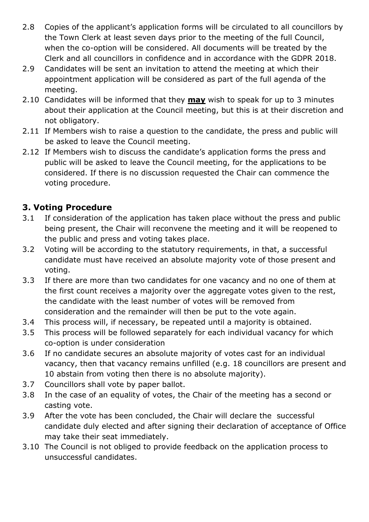- 2.8 Copies of the applicant's application forms will be circulated to all councillors by the Town Clerk at least seven days prior to the meeting of the full Council, when the co-option will be considered. All documents will be treated by the Clerk and all councillors in confidence and in accordance with the GDPR 2018.
- 2.9 Candidates will be sent an invitation to attend the meeting at which their appointment application will be considered as part of the full agenda of the meeting.
- 2.10 Candidates will be informed that they **may** wish to speak for up to 3 minutes about their application at the Council meeting, but this is at their discretion and not obligatory.
- 2.11 If Members wish to raise a question to the candidate, the press and public will be asked to leave the Council meeting.
- 2.12 If Members wish to discuss the candidate's application forms the press and public will be asked to leave the Council meeting, for the applications to be considered. If there is no discussion requested the Chair can commence the voting procedure.

### **3. Voting Procedure**

- 3.1 If consideration of the application has taken place without the press and public being present, the Chair will reconvene the meeting and it will be reopened to the public and press and voting takes place.
- 3.2 Voting will be according to the statutory requirements, in that, a successful candidate must have received an absolute majority vote of those present and voting.
- 3.3 If there are more than two candidates for one vacancy and no one of them at the first count receives a majority over the aggregate votes given to the rest, the candidate with the least number of votes will be removed from consideration and the remainder will then be put to the vote again.
- 3.4 This process will, if necessary, be repeated until a majority is obtained.
- 3.5 This process will be followed separately for each individual vacancy for which co-option is under consideration
- 3.6 If no candidate secures an absolute majority of votes cast for an individual vacancy, then that vacancy remains unfilled (e.g. 18 councillors are present and 10 abstain from voting then there is no absolute majority).
- 3.7 Councillors shall vote by paper ballot.
- 3.8 In the case of an equality of votes, the Chair of the meeting has a second or casting vote.
- 3.9 After the vote has been concluded, the Chair will declare the successful candidate duly elected and after signing their declaration of acceptance of Office may take their seat immediately.
- 3.10 The Council is not obliged to provide feedback on the application process to unsuccessful candidates.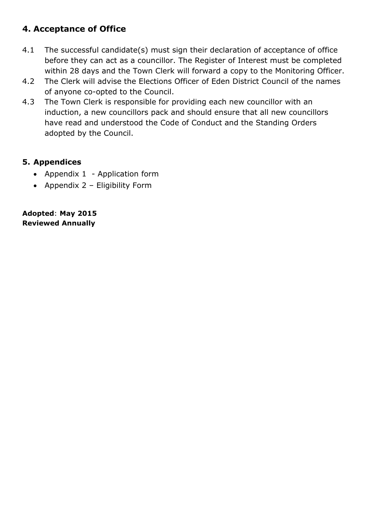### **4. Acceptance of Office**

- 4.1 The successful candidate(s) must sign their declaration of acceptance of office before they can act as a councillor. The Register of Interest must be completed within 28 days and the Town Clerk will forward a copy to the Monitoring Officer.
- 4.2 The Clerk will advise the Elections Officer of Eden District Council of the names of anyone co-opted to the Council.
- 4.3 The Town Clerk is responsible for providing each new councillor with an induction, a new councillors pack and should ensure that all new councillors have read and understood the Code of Conduct and the Standing Orders adopted by the Council.

#### **5. Appendices**

- Appendix 1 Application form
- Appendix 2 Eligibility Form

**Adopted**: **May 2015 Reviewed Annually**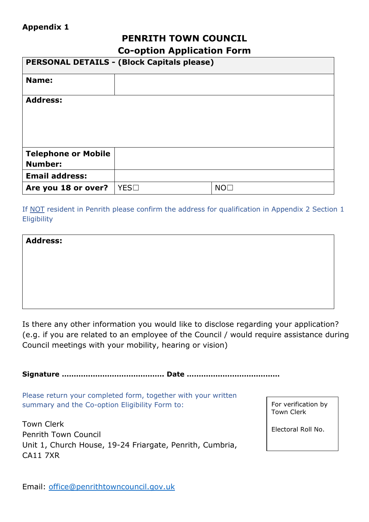#### **Appendix 1**

#### **PENRITH TOWN COUNCIL Co-option Application Form**

| <b>PERSONAL DETAILS - (Block Capitals please)</b> |      |    |  |
|---------------------------------------------------|------|----|--|
| Name:                                             |      |    |  |
| <b>Address:</b>                                   |      |    |  |
| <b>Telephone or Mobile</b><br><b>Number:</b>      |      |    |  |
| <b>Email address:</b>                             |      |    |  |
| Are you 18 or over?                               | YES□ | NO |  |

If NOT resident in Penrith please confirm the address for qualification in Appendix 2 Section 1 **Eligibility** 

# **Address:**

Is there any other information you would like to disclose regarding your application? (e.g. if you are related to an employee of the Council / would require assistance during Council meetings with your mobility, hearing or vision)

**Signature ……………………………………. Date …………………………………**

Please return your completed form, together with your written summary and the Co-option Eligibility Form to:

Town Clerk Penrith Town Council Unit 1, Church House, 19-24 Friargate, Penrith, Cumbria, CA11 7XR

For verification by Town Clerk

Electoral Roll No.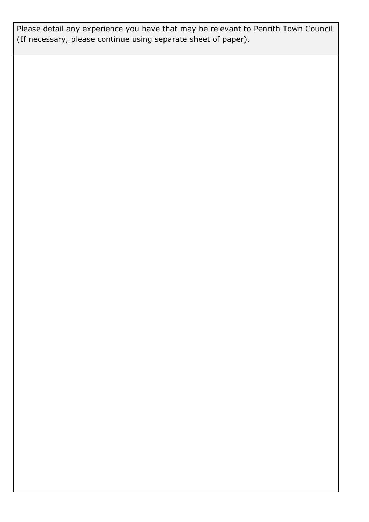Please detail any experience you have that may be relevant to Penrith Town Council (If necessary, please continue using separate sheet of paper).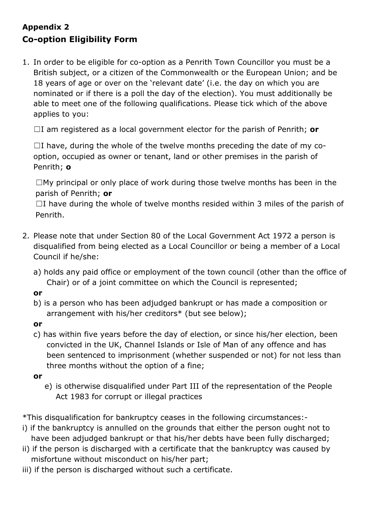# **Appendix 2 Co-option Eligibility Form**

1. In order to be eligible for co-option as a Penrith Town Councillor you must be a British subject, or a citizen of the Commonwealth or the European Union; and be 18 years of age or over on the 'relevant date' (i.e. the day on which you are nominated or if there is a poll the day of the election). You must additionally be able to meet one of the following qualifications. Please tick which of the above applies to you:

☐I am registered as a local government elector for the parish of Penrith; **or**

 $\Box$ I have, during the whole of the twelve months preceding the date of my cooption, occupied as owner or tenant, land or other premises in the parish of Penrith; **o** 

 $\square$ My principal or only place of work during those twelve months has been in the parish of Penrith; **or**

 $\Box$ I have during the whole of twelve months resided within 3 miles of the parish of Penrith.

- 2. Please note that under Section 80 of the Local Government Act 1972 a person is disqualified from being elected as a Local Councillor or being a member of a Local Council if he/she:
	- a) holds any paid office or employment of the town council (other than the office of Chair) or of a joint committee on which the Council is represented;
	- **or**
	- b) is a person who has been adjudged bankrupt or has made a composition or arrangement with his/her creditors\* (but see below);
	- **or**
	- c) has within five years before the day of election, or since his/her election, been convicted in the UK, Channel Islands or Isle of Man of any offence and has been sentenced to imprisonment (whether suspended or not) for not less than three months without the option of a fine;
	- **or**
- e) is otherwise disqualified under Part III of the representation of the People Act 1983 for corrupt or illegal practices

\*This disqualification for bankruptcy ceases in the following circumstances:-

- i) if the bankruptcy is annulled on the grounds that either the person ought not to have been adjudged bankrupt or that his/her debts have been fully discharged;
- ii) if the person is discharged with a certificate that the bankruptcy was caused by misfortune without misconduct on his/her part;
- iii) if the person is discharged without such a certificate.